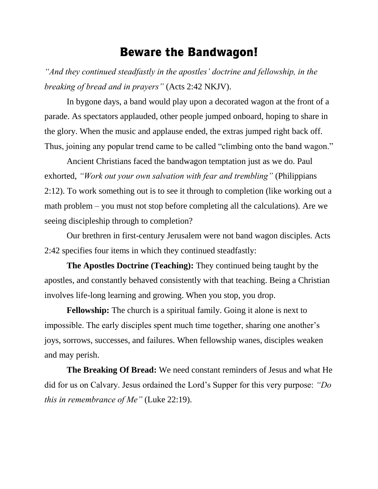## Beware the Bandwagon!

*"And they continued steadfastly in the apostles' doctrine and fellowship, in the breaking of bread and in prayers"* (Acts 2:42 NKJV).

In bygone days, a band would play upon a decorated wagon at the front of a parade. As spectators applauded, other people jumped onboard, hoping to share in the glory. When the music and applause ended, the extras jumped right back off. Thus, joining any popular trend came to be called "climbing onto the band wagon."

Ancient Christians faced the bandwagon temptation just as we do. Paul exhorted, *"Work out your own salvation with fear and trembling"* (Philippians 2:12). To work something out is to see it through to completion (like working out a math problem – you must not stop before completing all the calculations). Are we seeing discipleship through to completion?

Our brethren in first-century Jerusalem were not band wagon disciples. Acts 2:42 specifies four items in which they continued steadfastly:

**The Apostles Doctrine (Teaching):** They continued being taught by the apostles, and constantly behaved consistently with that teaching. Being a Christian involves life-long learning and growing. When you stop, you drop.

**Fellowship:** The church is a spiritual family. Going it alone is next to impossible. The early disciples spent much time together, sharing one another's joys, sorrows, successes, and failures. When fellowship wanes, disciples weaken and may perish.

**The Breaking Of Bread:** We need constant reminders of Jesus and what He did for us on Calvary. Jesus ordained the Lord's Supper for this very purpose: *"Do this in remembrance of Me"* (Luke 22:19).